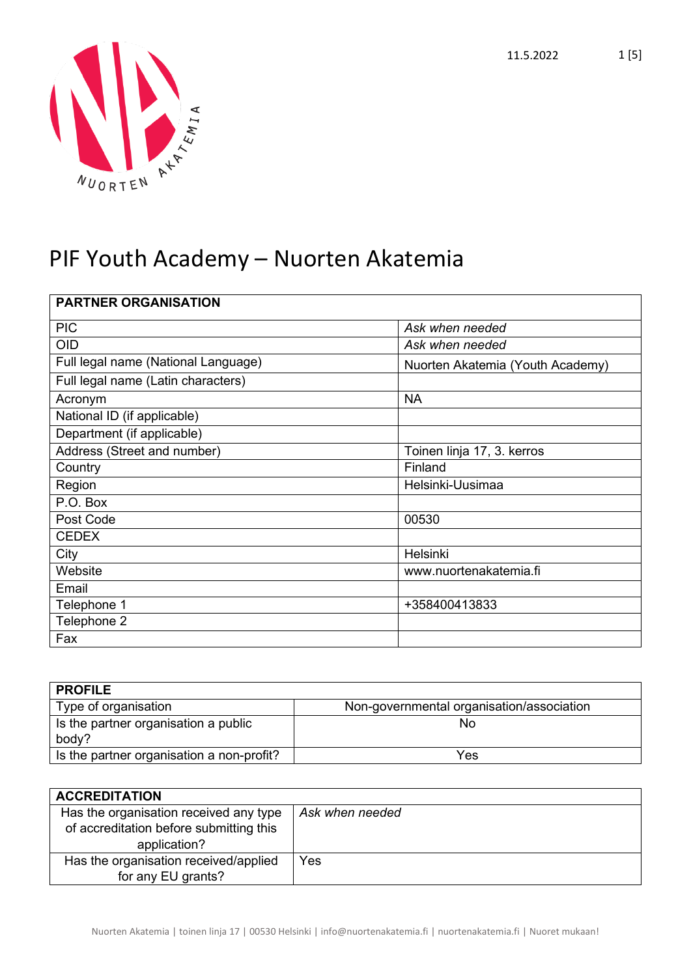



| <b>PARTNER ORGANISATION</b>         |                                  |
|-------------------------------------|----------------------------------|
| <b>PIC</b>                          | Ask when needed                  |
| <b>OID</b>                          | Ask when needed                  |
| Full legal name (National Language) | Nuorten Akatemia (Youth Academy) |
| Full legal name (Latin characters)  |                                  |
| Acronym                             | <b>NA</b>                        |
| National ID (if applicable)         |                                  |
| Department (if applicable)          |                                  |
| Address (Street and number)         | Toinen linja 17, 3. kerros       |
| Country                             | Finland                          |
| Region                              | Helsinki-Uusimaa                 |
| P.O. Box                            |                                  |
| Post Code                           | 00530                            |
| <b>CEDEX</b>                        |                                  |
| City                                | Helsinki                         |
| Website                             | www.nuortenakatemia.fi           |
| Email                               |                                  |
| Telephone 1                         | +358400413833                    |
| Telephone 2                         |                                  |
| Fax                                 |                                  |

| <b>PROFILE</b>                                |                                           |
|-----------------------------------------------|-------------------------------------------|
| Type of organisation                          | Non-governmental organisation/association |
| Is the partner organisation a public<br>body? | No                                        |
| Is the partner organisation a non-profit?     | Yes                                       |

| <b>ACCREDITATION</b>                                                                              |                 |
|---------------------------------------------------------------------------------------------------|-----------------|
| Has the organisation received any type<br>of accreditation before submitting this<br>application? | Ask when needed |
| Has the organisation received/applied<br>for any EU grants?                                       | Yes             |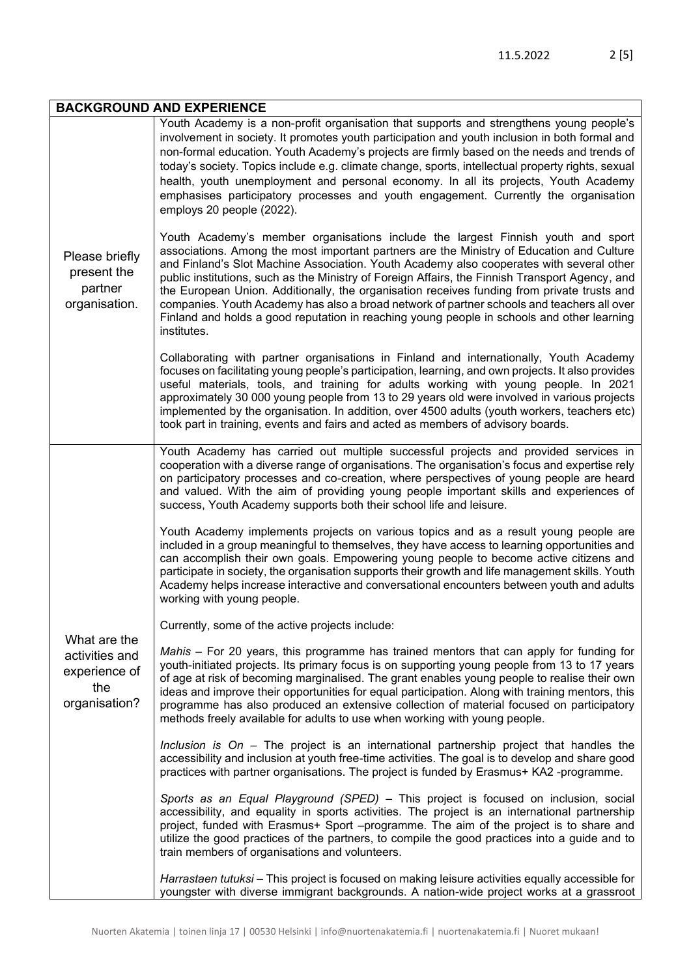| <b>BACKGROUND AND EXPERIENCE</b>                                        |                                                                                                                                                                                                                                                                                                                                                                                                                                                                                                                                                                                                                                                                                        |
|-------------------------------------------------------------------------|----------------------------------------------------------------------------------------------------------------------------------------------------------------------------------------------------------------------------------------------------------------------------------------------------------------------------------------------------------------------------------------------------------------------------------------------------------------------------------------------------------------------------------------------------------------------------------------------------------------------------------------------------------------------------------------|
| Please briefly<br>present the<br>partner<br>organisation.               | Youth Academy is a non-profit organisation that supports and strengthens young people's<br>involvement in society. It promotes youth participation and youth inclusion in both formal and<br>non-formal education. Youth Academy's projects are firmly based on the needs and trends of<br>today's society. Topics include e.g. climate change, sports, intellectual property rights, sexual<br>health, youth unemployment and personal economy. In all its projects, Youth Academy<br>emphasises participatory processes and youth engagement. Currently the organisation<br>employs 20 people (2022).                                                                                |
|                                                                         | Youth Academy's member organisations include the largest Finnish youth and sport<br>associations. Among the most important partners are the Ministry of Education and Culture<br>and Finland's Slot Machine Association. Youth Academy also cooperates with several other<br>public institutions, such as the Ministry of Foreign Affairs, the Finnish Transport Agency, and<br>the European Union. Additionally, the organisation receives funding from private trusts and<br>companies. Youth Academy has also a broad network of partner schools and teachers all over<br>Finland and holds a good reputation in reaching young people in schools and other learning<br>institutes. |
|                                                                         | Collaborating with partner organisations in Finland and internationally, Youth Academy<br>focuses on facilitating young people's participation, learning, and own projects. It also provides<br>useful materials, tools, and training for adults working with young people. In 2021<br>approximately 30 000 young people from 13 to 29 years old were involved in various projects<br>implemented by the organisation. In addition, over 4500 adults (youth workers, teachers etc)<br>took part in training, events and fairs and acted as members of advisory boards.                                                                                                                 |
|                                                                         | Youth Academy has carried out multiple successful projects and provided services in<br>cooperation with a diverse range of organisations. The organisation's focus and expertise rely<br>on participatory processes and co-creation, where perspectives of young people are heard<br>and valued. With the aim of providing young people important skills and experiences of<br>success, Youth Academy supports both their school life and leisure.                                                                                                                                                                                                                                     |
|                                                                         | Youth Academy implements projects on various topics and as a result young people are<br>included in a group meaningful to themselves, they have access to learning opportunities and<br>can accomplish their own goals. Empowering young people to become active citizens and<br>participate in society, the organisation supports their growth and life management skills. Youth<br>Academy helps increase interactive and conversational encounters between youth and adults<br>working with young people.                                                                                                                                                                           |
|                                                                         | Currently, some of the active projects include:                                                                                                                                                                                                                                                                                                                                                                                                                                                                                                                                                                                                                                        |
| What are the<br>activities and<br>experience of<br>the<br>organisation? | Mahis - For 20 years, this programme has trained mentors that can apply for funding for<br>youth-initiated projects. Its primary focus is on supporting young people from 13 to 17 years<br>of age at risk of becoming marginalised. The grant enables young people to realise their own<br>ideas and improve their opportunities for equal participation. Along with training mentors, this<br>programme has also produced an extensive collection of material focused on participatory<br>methods freely available for adults to use when working with young people.                                                                                                                 |
|                                                                         | Inclusion is $On - The project$ is an international partnership project that handles the<br>accessibility and inclusion at youth free-time activities. The goal is to develop and share good<br>practices with partner organisations. The project is funded by Erasmus+ KA2 -programme.                                                                                                                                                                                                                                                                                                                                                                                                |
|                                                                         | Sports as an Equal Playground (SPED) - This project is focused on inclusion, social<br>accessibility, and equality in sports activities. The project is an international partnership<br>project, funded with Erasmus+ Sport -programme. The aim of the project is to share and<br>utilize the good practices of the partners, to compile the good practices into a guide and to<br>train members of organisations and volunteers.                                                                                                                                                                                                                                                      |
|                                                                         | Harrastaen tutuksi – This project is focused on making leisure activities equally accessible for<br>youngster with diverse immigrant backgrounds. A nation-wide project works at a grassroot                                                                                                                                                                                                                                                                                                                                                                                                                                                                                           |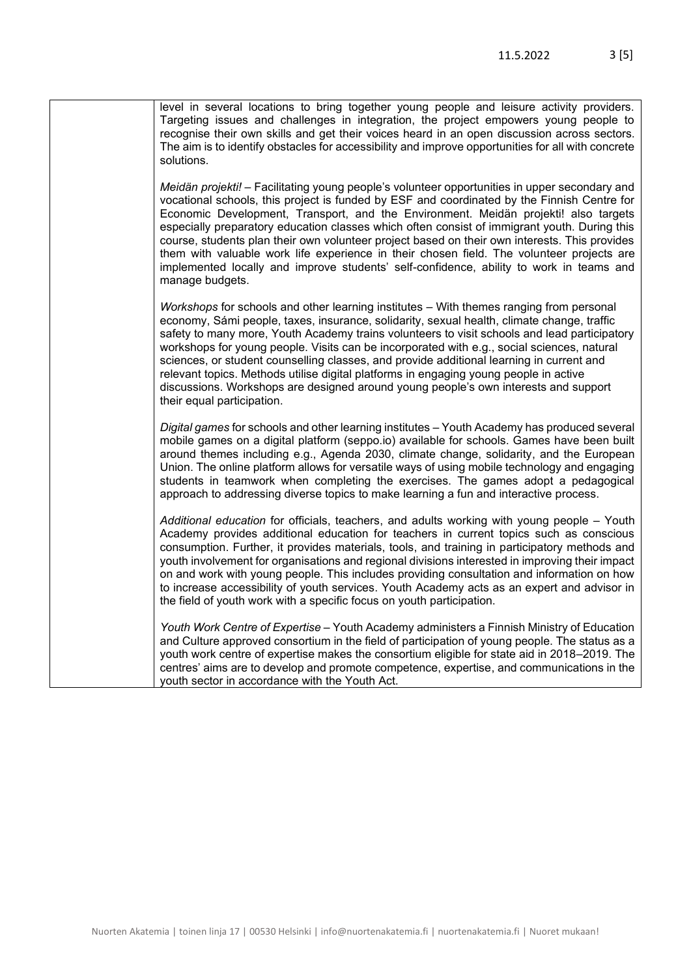| level in several locations to bring together young people and leisure activity providers.<br>Targeting issues and challenges in integration, the project empowers young people to<br>recognise their own skills and get their voices heard in an open discussion across sectors.<br>The aim is to identify obstacles for accessibility and improve opportunities for all with concrete<br>solutions.                                                                                                                                                                                                                                                                                            |
|-------------------------------------------------------------------------------------------------------------------------------------------------------------------------------------------------------------------------------------------------------------------------------------------------------------------------------------------------------------------------------------------------------------------------------------------------------------------------------------------------------------------------------------------------------------------------------------------------------------------------------------------------------------------------------------------------|
| Meidän projekti! - Facilitating young people's volunteer opportunities in upper secondary and<br>vocational schools, this project is funded by ESF and coordinated by the Finnish Centre for<br>Economic Development, Transport, and the Environment. Meidän projekti! also targets<br>especially preparatory education classes which often consist of immigrant youth. During this<br>course, students plan their own volunteer project based on their own interests. This provides<br>them with valuable work life experience in their chosen field. The volunteer projects are<br>implemented locally and improve students' self-confidence, ability to work in teams and<br>manage budgets. |
| Workshops for schools and other learning institutes - With themes ranging from personal<br>economy, Sámi people, taxes, insurance, solidarity, sexual health, climate change, traffic<br>safety to many more, Youth Academy trains volunteers to visit schools and lead participatory<br>workshops for young people. Visits can be incorporated with e.g., social sciences, natural<br>sciences, or student counselling classes, and provide additional learning in current and<br>relevant topics. Methods utilise digital platforms in engaging young people in active<br>discussions. Workshops are designed around young people's own interests and support<br>their equal participation.   |
| Digital games for schools and other learning institutes - Youth Academy has produced several<br>mobile games on a digital platform (seppo.io) available for schools. Games have been built<br>around themes including e.g., Agenda 2030, climate change, solidarity, and the European<br>Union. The online platform allows for versatile ways of using mobile technology and engaging<br>students in teamwork when completing the exercises. The games adopt a pedagogical<br>approach to addressing diverse topics to make learning a fun and interactive process.                                                                                                                             |
| Additional education for officials, teachers, and adults working with young people - Youth<br>Academy provides additional education for teachers in current topics such as conscious<br>consumption. Further, it provides materials, tools, and training in participatory methods and<br>youth involvement for organisations and regional divisions interested in improving their impact<br>on and work with young people. This includes providing consultation and information on how<br>to increase accessibility of youth services. Youth Academy acts as an expert and advisor in<br>the field of youth work with a specific focus on youth participation.                                  |
| Youth Work Centre of Expertise - Youth Academy administers a Finnish Ministry of Education<br>and Culture approved consortium in the field of participation of young people. The status as a<br>youth work centre of expertise makes the consortium eligible for state aid in 2018–2019. The<br>centres' aims are to develop and promote competence, expertise, and communications in the<br>youth sector in accordance with the Youth Act.                                                                                                                                                                                                                                                     |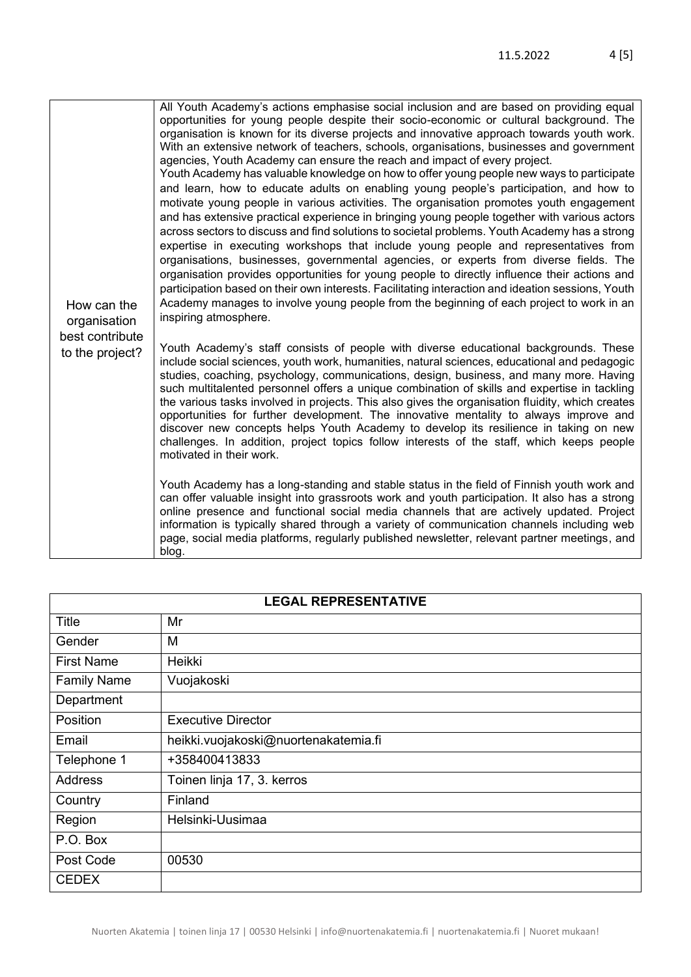| How can the<br>organisation<br>best contribute<br>to the project? | All Youth Academy's actions emphasise social inclusion and are based on providing equal<br>opportunities for young people despite their socio-economic or cultural background. The<br>organisation is known for its diverse projects and innovative approach towards youth work.<br>With an extensive network of teachers, schools, organisations, businesses and government<br>agencies, Youth Academy can ensure the reach and impact of every project.<br>Youth Academy has valuable knowledge on how to offer young people new ways to participate<br>and learn, how to educate adults on enabling young people's participation, and how to<br>motivate young people in various activities. The organisation promotes youth engagement<br>and has extensive practical experience in bringing young people together with various actors<br>across sectors to discuss and find solutions to societal problems. Youth Academy has a strong<br>expertise in executing workshops that include young people and representatives from<br>organisations, businesses, governmental agencies, or experts from diverse fields. The<br>organisation provides opportunities for young people to directly influence their actions and<br>participation based on their own interests. Facilitating interaction and ideation sessions, Youth<br>Academy manages to involve young people from the beginning of each project to work in an<br>inspiring atmosphere. |
|-------------------------------------------------------------------|-------------------------------------------------------------------------------------------------------------------------------------------------------------------------------------------------------------------------------------------------------------------------------------------------------------------------------------------------------------------------------------------------------------------------------------------------------------------------------------------------------------------------------------------------------------------------------------------------------------------------------------------------------------------------------------------------------------------------------------------------------------------------------------------------------------------------------------------------------------------------------------------------------------------------------------------------------------------------------------------------------------------------------------------------------------------------------------------------------------------------------------------------------------------------------------------------------------------------------------------------------------------------------------------------------------------------------------------------------------------------------------------------------------------------------------------------------|
|                                                                   | Youth Academy's staff consists of people with diverse educational backgrounds. These<br>include social sciences, youth work, humanities, natural sciences, educational and pedagogic<br>studies, coaching, psychology, communications, design, business, and many more. Having<br>such multitalented personnel offers a unique combination of skills and expertise in tackling<br>the various tasks involved in projects. This also gives the organisation fluidity, which creates<br>opportunities for further development. The innovative mentality to always improve and<br>discover new concepts helps Youth Academy to develop its resilience in taking on new<br>challenges. In addition, project topics follow interests of the staff, which keeps people<br>motivated in their work.                                                                                                                                                                                                                                                                                                                                                                                                                                                                                                                                                                                                                                                          |
|                                                                   | Youth Academy has a long-standing and stable status in the field of Finnish youth work and<br>can offer valuable insight into grassroots work and youth participation. It also has a strong<br>online presence and functional social media channels that are actively updated. Project<br>information is typically shared through a variety of communication channels including web<br>page, social media platforms, regularly published newsletter, relevant partner meetings, and<br>blog.                                                                                                                                                                                                                                                                                                                                                                                                                                                                                                                                                                                                                                                                                                                                                                                                                                                                                                                                                          |

| <b>LEGAL REPRESENTATIVE</b> |                                      |
|-----------------------------|--------------------------------------|
| Title                       | Mr                                   |
| Gender                      | M                                    |
| <b>First Name</b>           | Heikki                               |
| <b>Family Name</b>          | Vuojakoski                           |
| Department                  |                                      |
| Position                    | <b>Executive Director</b>            |
| Email                       | heikki.vuojakoski@nuortenakatemia.fi |
| Telephone 1                 | +358400413833                        |
| <b>Address</b>              | Toinen linja 17, 3. kerros           |
| Country                     | Finland                              |
| Region                      | Helsinki-Uusimaa                     |
| P.O. Box                    |                                      |
| Post Code                   | 00530                                |
| <b>CEDEX</b>                |                                      |